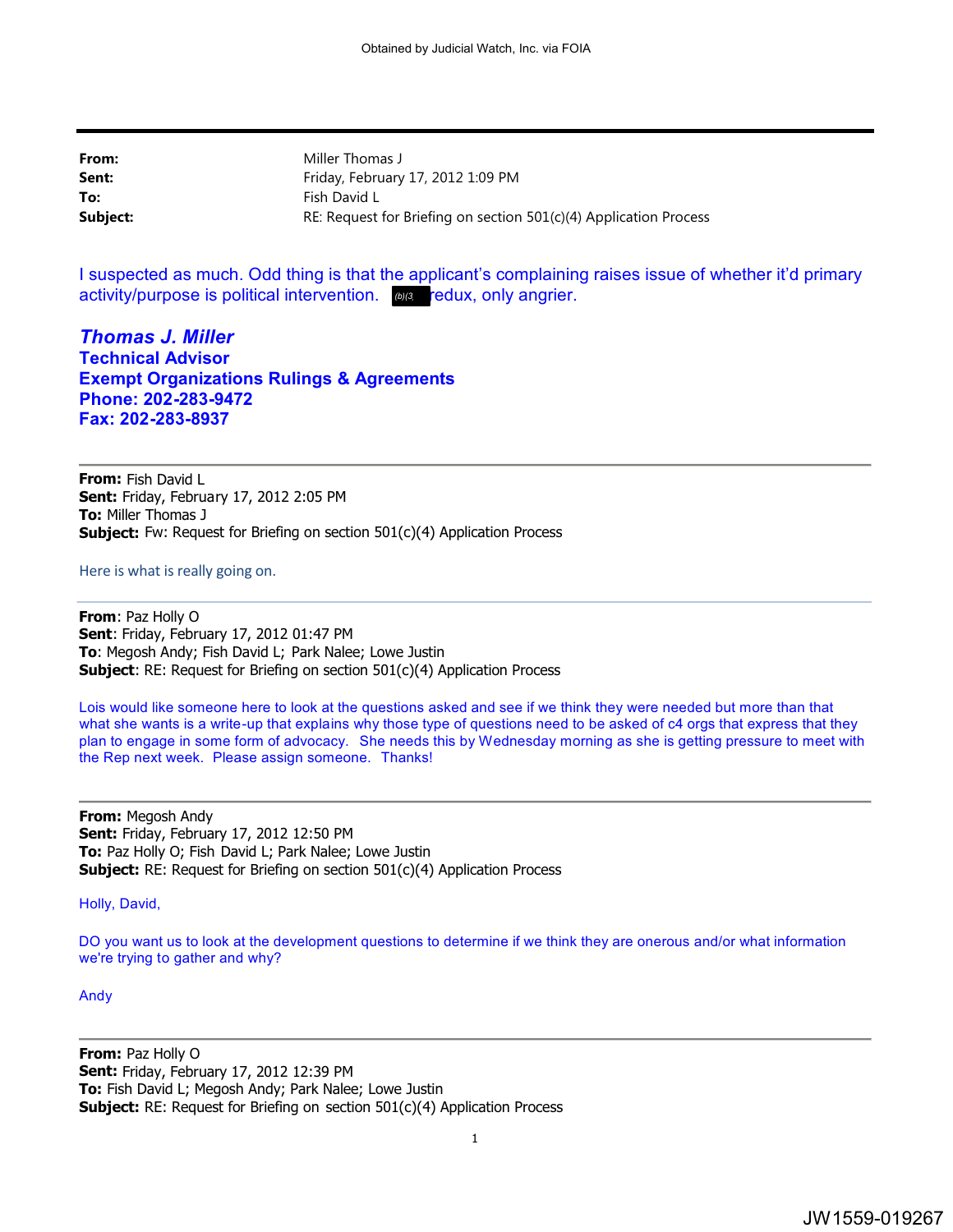**From:** Miller Thomas J **Sent:** Friday, February 17, 2012 1:09 PM **To:** Fish David L **Subject: RE: Request for Briefing on section 501(c)(4) Application Process** 

I suspected as much. Odd thing is that the applicant's complaining raises issue of whether it'd primary activity/purpose is political intervention. wa<u>s redux, only angrier</u>.

*Thomas J. Miller* **Technical Advisor Exempt Organizations Rulings & Agreements Phone: 202-283-9472 Fax: 202-283-8937** 

**From:** Fish David L **Sent:** Friday, February 17, 2012 2:05 PM **To:** Miller Thomas J **Subject:** Fw: Request for Briefing on section 501(c)(4) Application Process

Here is what is really going on.

**From**: Paz Holly O **Sent**: Friday, February 17, 2012 01:47 PM **To**: Megosh Andy; Fish David L; Park Nalee; Lowe Justin **Subject:** RE: Request for Briefing on section 501(c)(4) Application Process

Lois would like someone here to look at the questions asked and see if we think they were needed but more than that what she wants is a write-up that explains why those type of questions need to be asked of c4 orgs that express that they plan to engage in some form of advocacy. She needs this by Wednesday morning as she is getting pressure to meet with the Rep next week. Please assign someone. Thanks!

**From:** Megosh Andy **Sent:** Friday, February 17, 2012 12:50 PM **To:** Paz Holly O; Fish David L; Park Nalee; Lowe Justin **Subject:** RE: Request for Briefing on section 501(c)(4) Application Process

Holly, David,

DO you want us to look at the development questions to determine if we think they are onerous and/or what information we're trying to gather and why?

Andy

**From:** Paz Holly O **Sent:** Friday, February 17, 2012 12:39 PM **To:** Fish David L; Megosh Andy; Park Nalee; Lowe Justin **Subject:** RE: Request for Briefing on section 501(c)(4) Application Process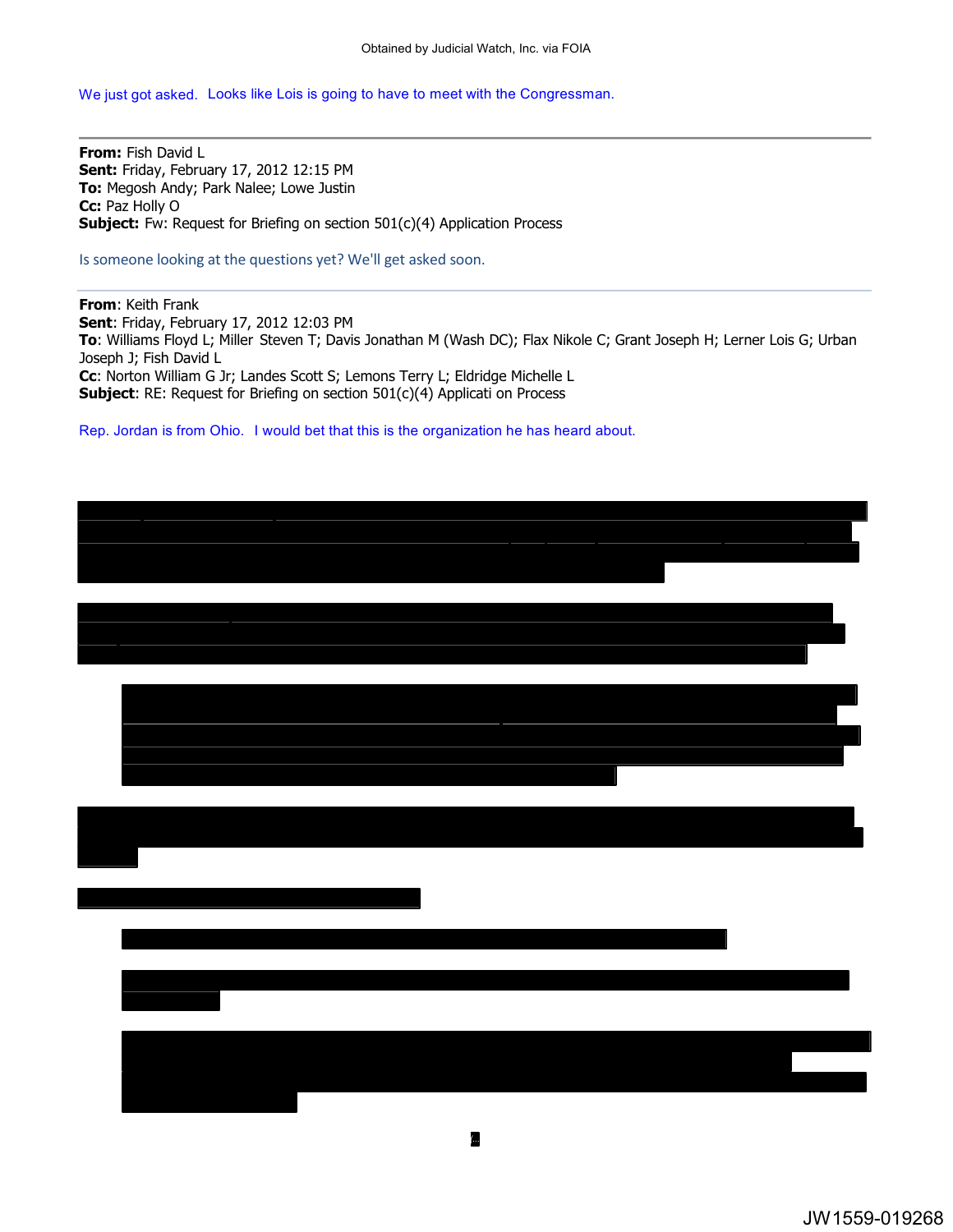We just got asked. Looks like Lois is going to have to meet with the Congressman.

**From:** Fish David L **Sent:** Friday, February 17, 2012 12:15 PM **To:** Megosh Andy; Park Nalee; Lowe Justin **Cc:** Paz Holly O **Subject:** Fw: Request for Briefing on section 501(c)(4) Application Process

Is someone looking at the questions yet? We'll get asked soon.

**From**: Keith Frank **Sent**: Friday, February 17, 2012 12:03 PM **To**: Williams Floyd L; Miller Steven T; Davis Jonathan M (Wash DC); Flax Nikole C; Grant Joseph H; Lerner Lois G; Urban Joseph J; Fish David L **Cc**: Norton William G Jr; Landes Scott S; Lemons Terry L; Eldridge Michelle L **Subject**: RE: Request for Briefing on section 501(c)(4) Applicati on Process

Rep. Jordan is from Ohio. I would bet that this is the organization he has heard about.

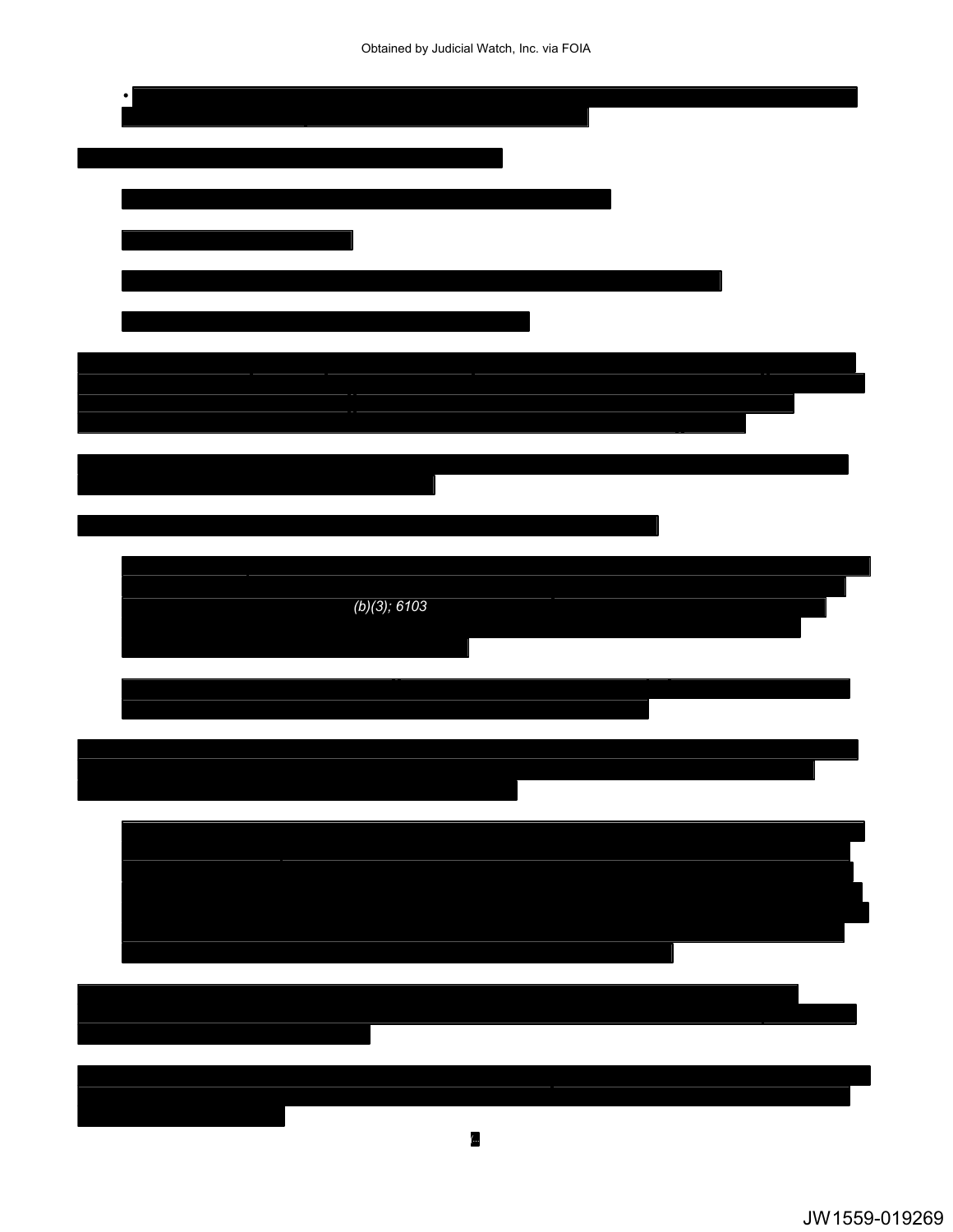Obtained by Judicial Watch, Inc. via FOIA

| (b)(3); 6103             |  |
|--------------------------|--|
|                          |  |
|                          |  |
|                          |  |
| $\overline{\phantom{a}}$ |  |